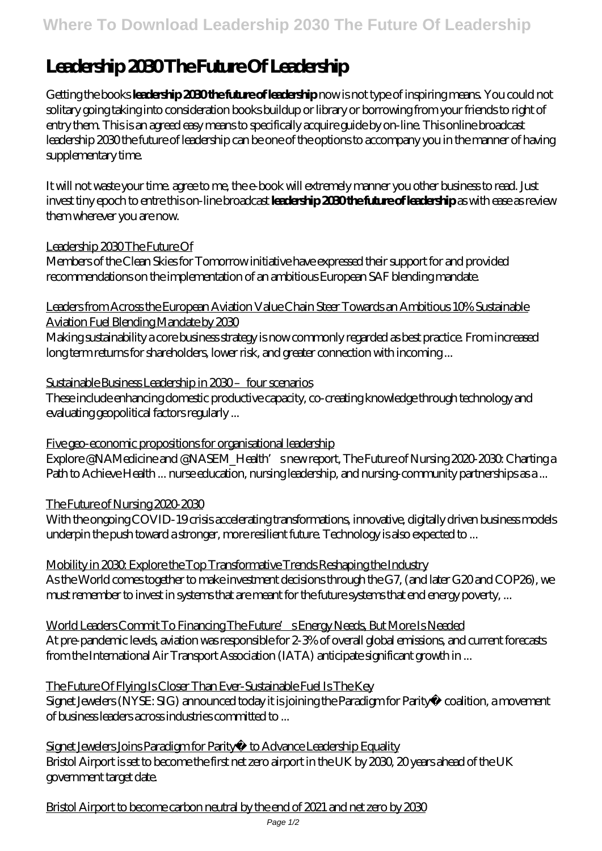# **Leadership 2030 The Future Of Leadership**

Getting the books **leadership 2030 the future of leadership** now is not type of inspiring means. You could not solitary going taking into consideration books buildup or library or borrowing from your friends to right of entry them. This is an agreed easy means to specifically acquire guide by on-line. This online broadcast leadership 2030 the future of leadership can be one of the options to accompany you in the manner of having supplementary time.

It will not waste your time. agree to me, the e-book will extremely manner you other business to read. Just invest tiny epoch to entre this on-line broadcast **leadership 2030 the future of leadership** as with ease as review them wherever you are now.

# Leadership 2030 The Future Of

Members of the Clean Skies for Tomorrow initiative have expressed their support for and provided recommendations on the implementation of an ambitious European SAF blending mandate.

Leaders from Across the European Aviation Value Chain Steer Towards an Ambitious 10% Sustainable Aviation Fuel Blending Mandate by 2030

Making sustainability a core business strategy is now commonly regarded as best practice. From increased long term returns for shareholders, lower risk, and greater connection with incoming ...

# Sustainable Business Leadership in 2030 – four scenarios

These include enhancing domestic productive capacity, co-creating knowledge through technology and evaluating geopolitical factors regularly ...

# Five geo-economic propositions for organisational leadership

Explore @NAMedicine and @NASEM\_Health's new report, The Future of Nursing 2020-2030. Charting a Path to Achieve Health ... nurse education, nursing leadership, and nursing-community partnerships as a ...

# The Future of Nursing 2020-2030

With the ongoing COVID-19 crisis accelerating transformations, innovative, digitally driven business models underpin the push toward a stronger, more resilient future. Technology is also expected to ...

#### Mobility in 2030. Explore the Top Transformative Trends Reshaping the Industry As the World comes together to make investment decisions through the G7, (and later G20 and COP26), we must remember to invest in systems that are meant for the future systems that end energy poverty, ...

World Leaders Commit To Financing The Future's Energy Needs, But More Is Needed At pre-pandemic levels, aviation was responsible for 2-3% of overall global emissions, and current forecasts from the International Air Transport Association (IATA) anticipate significant growth in ...

# The Future Of Flying Is Closer Than Ever-Sustainable Fuel Is The Key

Signet Jewelers (NYSE: SIG) announced today it is joining the Paradigm for Parity® coalition, a movement of business leaders across industries committed to ...

Signet Jewelers Joins Paradigm for Parity® to Advance Leadership Equality Bristol Airport is set to become the first net zero airport in the UK by 2030, 20 years ahead of the UK government target date.

Bristol Airport to become carbon neutral by the end of 2021 and net zero by 2030